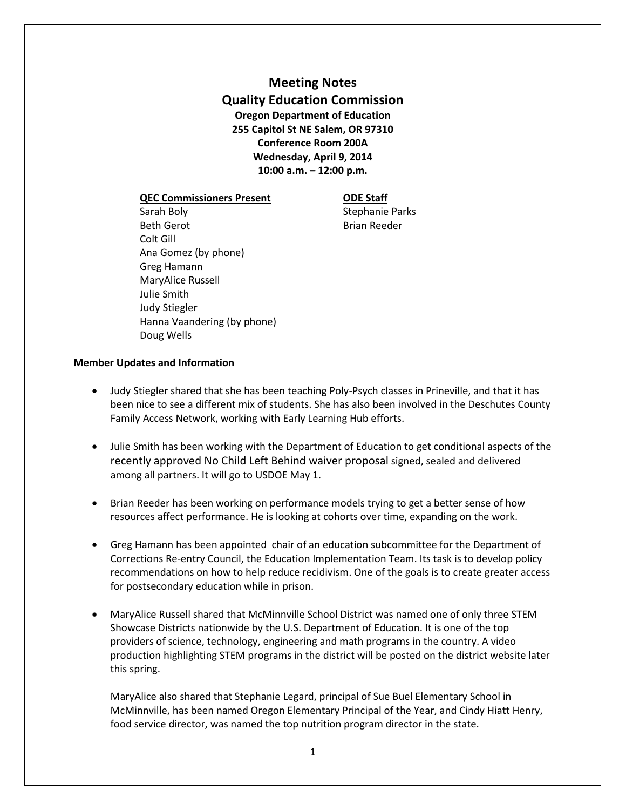# **Meeting Notes Quality Education Commission Oregon Department of Education 255 Capitol St NE Salem, OR 97310 Conference Room 200A Wednesday, April 9, 2014 10:00 a.m. – 12:00 p.m.**

### **QEC Commissioners Present ODE Staff**

Sarah Boly **Stephanie Parks** Beth Gerot **Brian Reeder** Colt Gill Ana Gomez (by phone) Greg Hamann MaryAlice Russell Julie Smith Judy Stiegler Hanna Vaandering (by phone) Doug Wells

## **Member Updates and Information**

- Judy Stiegler shared that she has been teaching Poly-Psych classes in Prineville, and that it has been nice to see a different mix of students. She has also been involved in the Deschutes County Family Access Network, working with Early Learning Hub efforts.
- Julie Smith has been working with the Department of Education to get conditional aspects of the recently approved No Child Left Behind waiver proposal signed, sealed and delivered among all partners. It will go to USDOE May 1.
- Brian Reeder has been working on performance models trying to get a better sense of how resources affect performance. He is looking at cohorts over time, expanding on the work.
- Greg Hamann has been appointed chair of an education subcommittee for the Department of Corrections Re-entry Council, the Education Implementation Team. Its task is to develop policy recommendations on how to help reduce recidivism. One of the goals is to create greater access for postsecondary education while in prison.
- MaryAlice Russell shared that McMinnville School District was named one of only three STEM Showcase Districts nationwide by the U.S. Department of Education. It is one of the top providers of science, technology, engineering and math programs in the country. A video production highlighting STEM programs in the district will be posted on the district website later this spring.

MaryAlice also shared that Stephanie Legard, principal of Sue Buel Elementary School in McMinnville, has been named Oregon Elementary Principal of the Year, and Cindy Hiatt Henry, food service director, was named the top nutrition program director in the state.